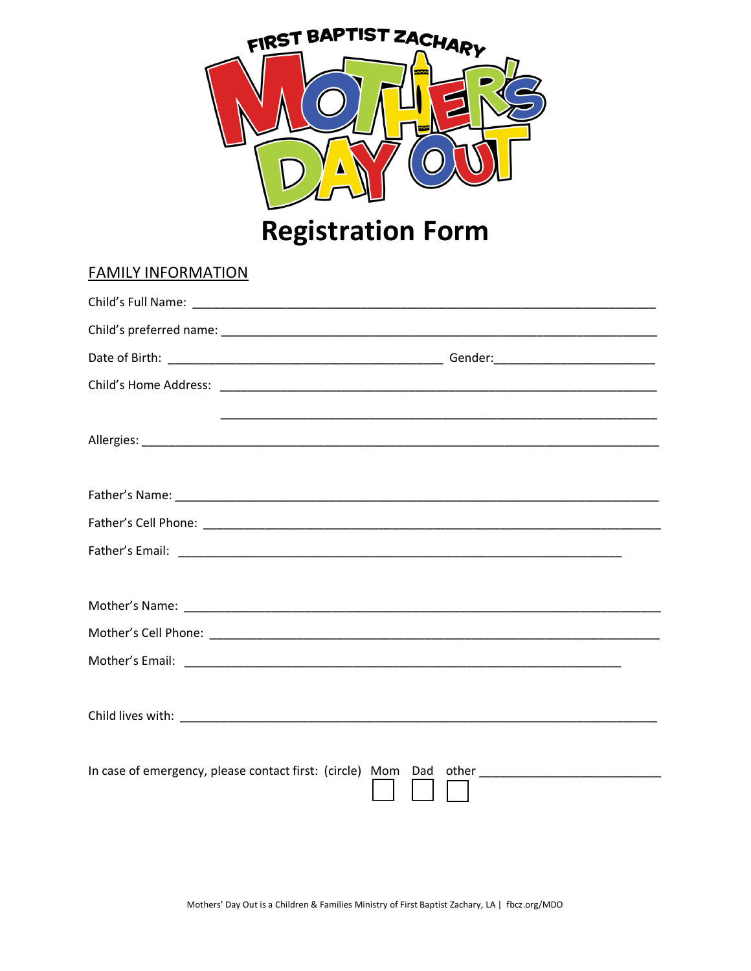

**Registration Form** 

# **FAMILY INFORMATION** Child's Home Address: The Child's Home Address: Father's Name:

 $Mathor'c$ 

| Father's Cell Phone: |  |  |  |
|----------------------|--|--|--|
| Father's Email:      |  |  |  |
|                      |  |  |  |
|                      |  |  |  |

| <b>IVIULIEI SIVAIIIE.</b> |  |
|---------------------------|--|
|                           |  |
| Mother's Cell Phone:      |  |
|                           |  |
| Mother's Email:           |  |

| Child lives with:<br>____ |  |
|---------------------------|--|
|                           |  |

In case of emergency, please contact first: (circle) Mom Dad other \_\_\_\_\_\_\_\_\_\_\_\_\_\_\_\_\_\_\_\_\_\_\_\_\_\_\_\_\_\_\_\_\_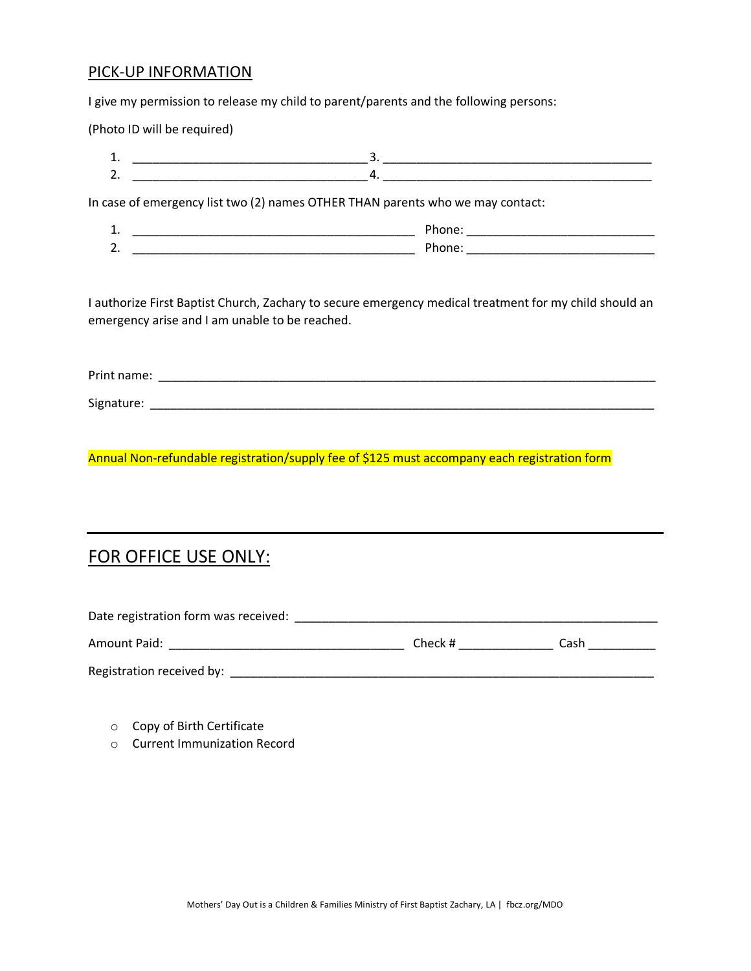#### PICK-UP INFORMATION

I give my permission to release my child to parent/parents and the following persons:

(Photo ID will be required)

| .   |     |  |
|-----|-----|--|
| . . | ___ |  |

In case of emergency list two (2) names OTHER THAN parents who we may contact:

| .   |   |  |
|-----|---|--|
| . . | . |  |

I authorize First Baptist Church, Zachary to secure emergency medical treatment for my child should an emergency arise and I am unable to be reached.

Print name: \_\_\_\_\_\_\_\_\_\_\_\_\_\_\_\_\_\_\_\_\_\_\_\_\_\_\_\_\_\_\_\_\_\_\_\_\_\_\_\_\_\_\_\_\_\_\_\_\_\_\_\_\_\_\_\_\_\_\_\_\_\_\_\_\_\_\_\_\_\_\_\_\_\_ Signature: \_\_\_\_\_\_\_\_\_\_\_\_\_\_\_\_\_\_\_\_\_\_\_\_\_\_\_\_\_\_\_\_\_\_\_\_\_\_\_\_\_\_\_\_\_\_\_\_\_\_\_\_\_\_\_\_\_\_\_\_\_\_\_\_\_\_\_\_\_\_\_\_\_\_\_

Annual Non-refundable registration/supply fee of \$125 must accompany each registration form

### FOR OFFICE USE ONLY:

| Date registration form was received: |         |      |  |
|--------------------------------------|---------|------|--|
| Amount Paid:                         | Check # | Cash |  |
| Registration received by:            |         |      |  |

- o Copy of Birth Certificate
- o Current Immunization Record